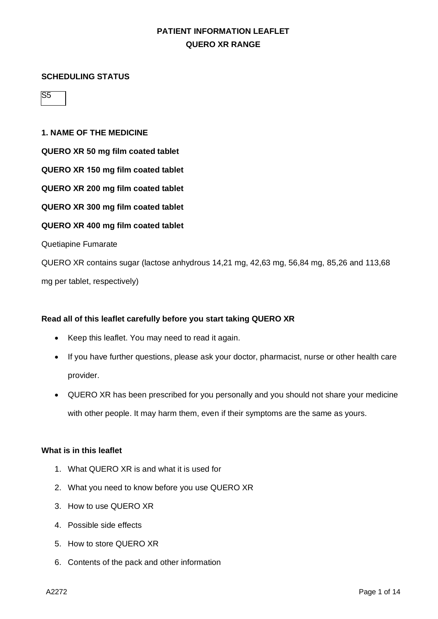#### **SCHEDULING STATUS**

S5

### **1. NAME OF THE MEDICINE**

**QUERO XR 50 mg film coated tablet**

**QUERO XR 150 mg film coated tablet**

**QUERO XR 200 mg film coated tablet**

**QUERO XR 300 mg film coated tablet**

**QUERO XR 400 mg film coated tablet**

Quetiapine Fumarate

QUERO XR contains sugar (lactose anhydrous 14,21 mg, 42,63 mg, 56,84 mg, 85,26 and 113,68 mg per tablet, respectively)

## **Read all of this leaflet carefully before you start taking QUERO XR**

- Keep this leaflet. You may need to read it again.
- If you have further questions, please ask your doctor, pharmacist, nurse or other health care provider.
- QUERO XR has been prescribed for you personally and you should not share your medicine with other people. It may harm them, even if their symptoms are the same as yours.

#### **What is in this leaflet**

- 1. What QUERO XR is and what it is used for
- 2. What you need to know before you use QUERO XR
- 3. How to use QUERO XR
- 4. Possible side effects
- 5. How to store QUERO XR
- 6. Contents of the pack and other information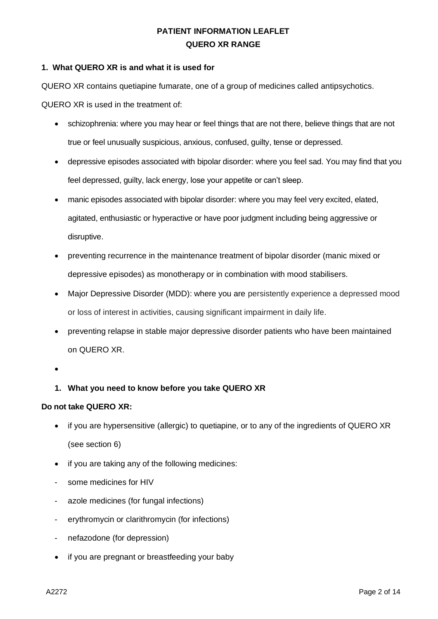## **1. What QUERO XR is and what it is used for**

QUERO XR contains quetiapine fumarate, one of a group of medicines called antipsychotics.

QUERO XR is used in the treatment of:

- schizophrenia: where you may hear or feel things that are not there, believe things that are not true or feel unusually suspicious, anxious, confused, guilty, tense or depressed.
- depressive episodes associated with bipolar disorder: where you feel sad. You may find that you feel depressed, guilty, lack energy, lose your appetite or can't sleep.
- manic episodes associated with bipolar disorder: where you may feel very excited, elated, agitated, enthusiastic or hyperactive or have poor judgment including being aggressive or disruptive.
- preventing recurrence in the maintenance treatment of bipolar disorder (manic mixed or depressive episodes) as monotherapy or in combination with mood stabilisers.
- Major Depressive Disorder (MDD): where you are persistently experience a depressed mood or loss of interest in activities, causing significant impairment in daily life.
- preventing relapse in stable major depressive disorder patients who have been maintained on QUERO XR.
- •

# **1. What you need to know before you take QUERO XR**

## **Do not take QUERO XR:**

- if you are hypersensitive (allergic) to quetiapine, or to any of the ingredients of QUERO XR (see section 6)
- if you are taking any of the following medicines:
- some medicines for HIV
- azole medicines (for fungal infections)
- erythromycin or clarithromycin (for infections)
- nefazodone (for depression)
- if you are pregnant or breastfeeding your baby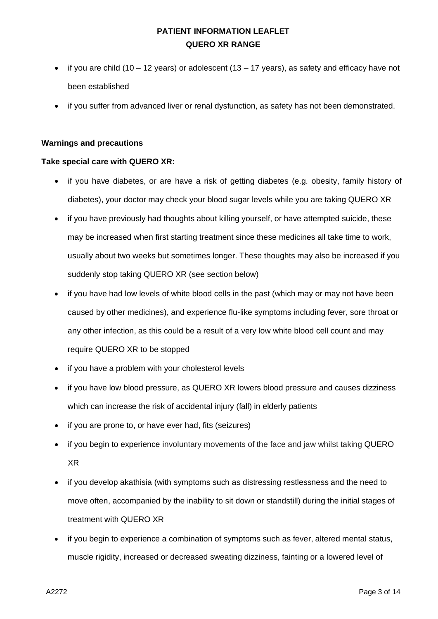- if you are child (10 12 years) or adolescent (13 17 years), as safety and efficacy have not been established
- if you suffer from advanced liver or renal dysfunction, as safety has not been demonstrated.

### **Warnings and precautions**

### **Take special care with QUERO XR:**

- if you have diabetes, or are have a risk of getting diabetes (e.g. obesity, family history of diabetes), your doctor may check your blood sugar levels while you are taking QUERO XR
- if you have previously had thoughts about killing yourself, or have attempted suicide, these may be increased when first starting treatment since these medicines all take time to work, usually about two weeks but sometimes longer. These thoughts may also be increased if you suddenly stop taking QUERO XR (see section below)
- if you have had low levels of white blood cells in the past (which may or may not have been caused by other medicines), and experience flu-like symptoms including fever, sore throat or any other infection, as this could be a result of a very low white blood cell count and may require QUERO XR to be stopped
- if you have a problem with your cholesterol levels
- if you have low blood pressure, as QUERO XR lowers blood pressure and causes dizziness which can increase the risk of accidental injury (fall) in elderly patients
- if you are prone to, or have ever had, fits (seizures)
- if you begin to experience involuntary movements of the face and jaw whilst taking QUERO XR
- if you develop akathisia (with symptoms such as distressing restlessness and the need to move often, accompanied by the inability to sit down or standstill) during the initial stages of treatment with QUERO XR
- if you begin to experience a combination of symptoms such as fever, altered mental status, muscle rigidity, increased or decreased sweating dizziness, fainting or a lowered level of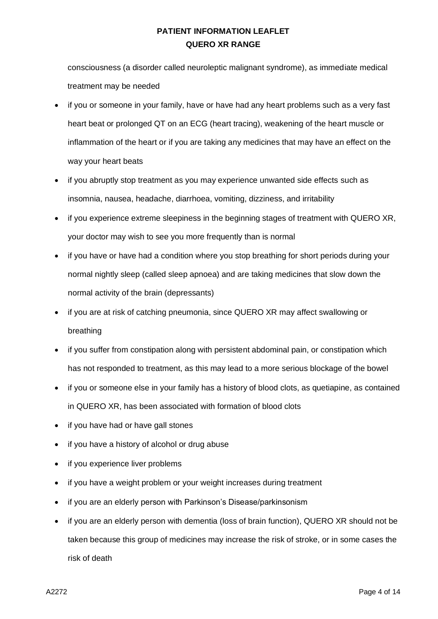consciousness (a disorder called neuroleptic malignant syndrome), as immediate medical treatment may be needed

- if you or someone in your family, have or have had any heart problems such as a very fast heart beat or prolonged QT on an ECG (heart tracing), weakening of the heart muscle or inflammation of the heart or if you are taking any medicines that may have an effect on the way your heart beats
- if you abruptly stop treatment as you may experience unwanted side effects such as insomnia, nausea, headache, diarrhoea, vomiting, dizziness, and irritability
- if you experience extreme sleepiness in the beginning stages of treatment with QUERO XR, your doctor may wish to see you more frequently than is normal
- if you have or have had a condition where you stop breathing for short periods during your normal nightly sleep (called sleep apnoea) and are taking medicines that slow down the normal activity of the brain (depressants)
- if you are at risk of catching pneumonia, since QUERO XR may affect swallowing or breathing
- if you suffer from constipation along with persistent abdominal pain, or constipation which has not responded to treatment, as this may lead to a more serious blockage of the bowel
- if you or someone else in your family has a history of blood clots, as quetiapine, as contained in QUERO XR, has been associated with formation of blood clots
- if you have had or have gall stones
- if you have a history of alcohol or drug abuse
- if you experience liver problems
- if you have a weight problem or your weight increases during treatment
- if you are an elderly person with Parkinson's Disease/parkinsonism
- if you are an elderly person with dementia (loss of brain function), QUERO XR should not be taken because this group of medicines may increase the risk of stroke, or in some cases the risk of death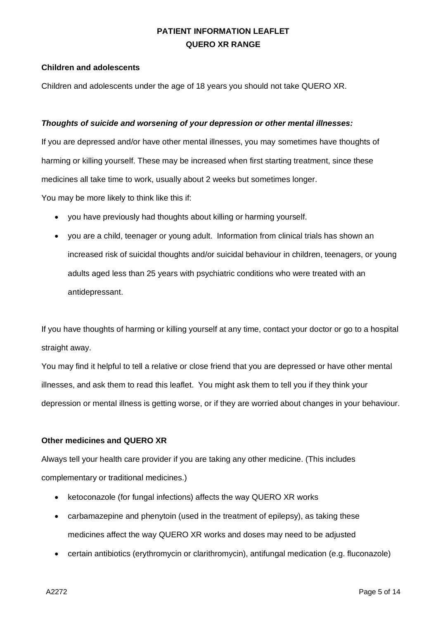### **Children and adolescents**

Children and adolescents under the age of 18 years you should not take QUERO XR.

### *Thoughts of suicide and worsening of your depression or other mental illnesses:*

If you are depressed and/or have other mental illnesses, you may sometimes have thoughts of harming or killing yourself. These may be increased when first starting treatment, since these medicines all take time to work, usually about 2 weeks but sometimes longer.

You may be more likely to think like this if:

- you have previously had thoughts about killing or harming yourself.
- you are a child, teenager or young adult. Information from clinical trials has shown an increased risk of suicidal thoughts and/or suicidal behaviour in children, teenagers, or young adults aged less than 25 years with psychiatric conditions who were treated with an antidepressant.

If you have thoughts of harming or killing yourself at any time, contact your doctor or go to a hospital straight away.

You may find it helpful to tell a relative or close friend that you are depressed or have other mental illnesses, and ask them to read this leaflet. You might ask them to tell you if they think your depression or mental illness is getting worse, or if they are worried about changes in your behaviour.

### **Other medicines and QUERO XR**

Always tell your health care provider if you are taking any other medicine. (This includes complementary or traditional medicines.)

- ketoconazole (for fungal infections) affects the way QUERO XR works
- carbamazepine and phenytoin (used in the treatment of epilepsy), as taking these medicines affect the way QUERO XR works and doses may need to be adjusted
- certain antibiotics (erythromycin or clarithromycin), antifungal medication (e.g. fluconazole)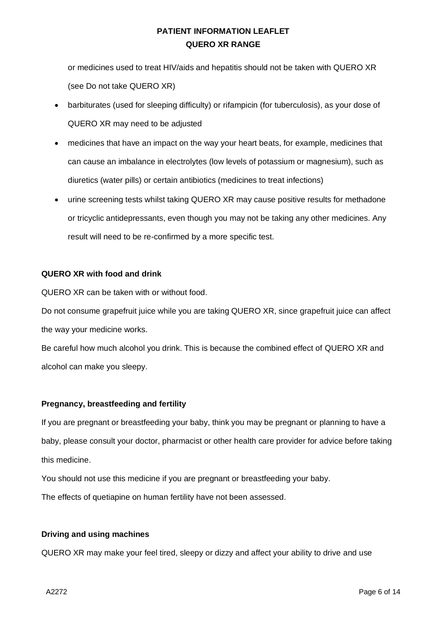or medicines used to treat HIV/aids and hepatitis should not be taken with QUERO XR (see Do not take QUERO XR)

- barbiturates (used for sleeping difficulty) or rifampicin (for tuberculosis), as your dose of QUERO XR may need to be adjusted
- medicines that have an impact on the way your heart beats, for example, medicines that can cause an imbalance in electrolytes (low levels of potassium or magnesium), such as diuretics (water pills) or certain antibiotics (medicines to treat infections)
- urine screening tests whilst taking QUERO XR may cause positive results for methadone or tricyclic antidepressants, even though you may not be taking any other medicines. Any result will need to be re-confirmed by a more specific test.

## **QUERO XR with food and drink**

QUERO XR can be taken with or without food.

Do not consume grapefruit juice while you are taking QUERO XR, since grapefruit juice can affect the way your medicine works.

Be careful how much alcohol you drink. This is because the combined effect of QUERO XR and alcohol can make you sleepy.

# **Pregnancy, breastfeeding and fertility**

If you are pregnant or breastfeeding your baby, think you may be pregnant or planning to have a baby, please consult your doctor, pharmacist or other health care provider for advice before taking this medicine.

You should not use this medicine if you are pregnant or breastfeeding your baby.

The effects of quetiapine on human fertility have not been assessed.

## **Driving and using machines**

QUERO XR may make your feel tired, sleepy or dizzy and affect your ability to drive and use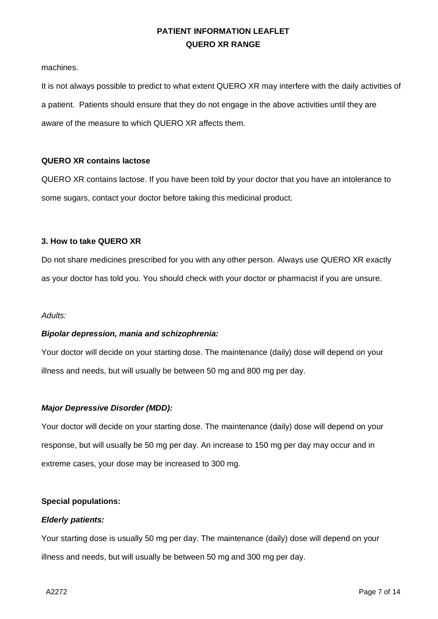machines.

It is not always possible to predict to what extent QUERO XR may interfere with the daily activities of a patient. Patients should ensure that they do not engage in the above activities until they are aware of the measure to which QUERO XR affects them.

## **QUERO XR contains lactose**

QUERO XR contains lactose. If you have been told by your doctor that you have an intolerance to some sugars, contact your doctor before taking this medicinal product.

### **3. How to take QUERO XR**

Do not share medicines prescribed for you with any other person. Always use QUERO XR exactly as your doctor has told you. You should check with your doctor or pharmacist if you are unsure.

#### *Adults:*

## *Bipolar depression, mania and schizophrenia:*

Your doctor will decide on your starting dose. The maintenance (daily) dose will depend on your illness and needs, but will usually be between 50 mg and 800 mg per day.

#### *Major Depressive Disorder (MDD):*

Your doctor will decide on your starting dose. The maintenance (daily) dose will depend on your response, but will usually be 50 mg per day. An increase to 150 mg per day may occur and in extreme cases, your dose may be increased to 300 mg.

#### **Special populations:**

#### *Elderly patients:*

Your starting dose is usually 50 mg per day. The maintenance (daily) dose will depend on your illness and needs, but will usually be between 50 mg and 300 mg per day.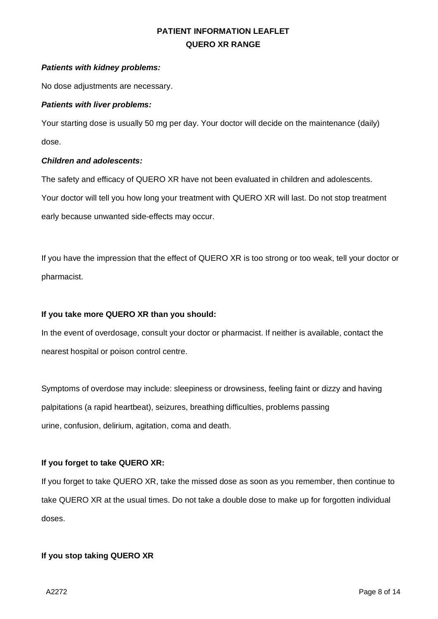## *Patients with kidney problems:*

No dose adjustments are necessary.

## *Patients with liver problems:*

Your starting dose is usually 50 mg per day. Your doctor will decide on the maintenance (daily) dose.

## *Children and adolescents:*

The safety and efficacy of QUERO XR have not been evaluated in children and adolescents. Your doctor will tell you how long your treatment with QUERO XR will last. Do not stop treatment early because unwanted side-effects may occur.

If you have the impression that the effect of QUERO XR is too strong or too weak, tell your doctor or pharmacist.

# **If you take more QUERO XR than you should:**

In the event of overdosage, consult your doctor or pharmacist. If neither is available, contact the nearest hospital or poison control centre.

Symptoms of overdose may include: sleepiness or drowsiness, feeling faint or dizzy and having palpitations (a rapid heartbeat), seizures, breathing difficulties, problems passing urine, confusion, delirium, agitation, coma and death.

# **If you forget to take QUERO XR:**

If you forget to take QUERO XR, take the missed dose as soon as you remember, then continue to take QUERO XR at the usual times. Do not take a double dose to make up for forgotten individual doses.

# **If you stop taking QUERO XR**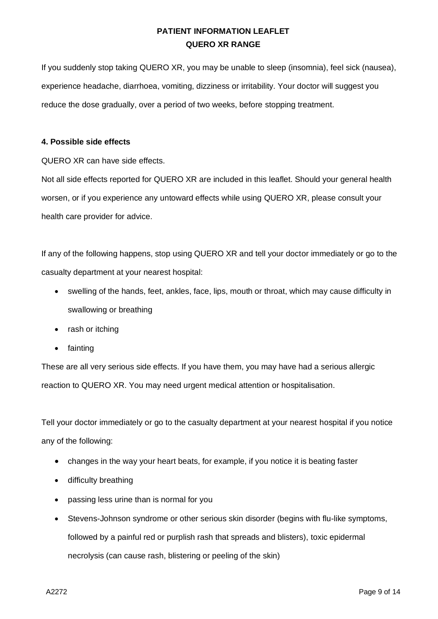If you suddenly stop taking QUERO XR, you may be unable to sleep (insomnia), feel sick (nausea), experience headache, diarrhoea, vomiting, dizziness or irritability. Your doctor will suggest you reduce the dose gradually, over a period of two weeks, before stopping treatment.

## **4. Possible side effects**

QUERO XR can have side effects.

Not all side effects reported for QUERO XR are included in this leaflet. Should your general health worsen, or if you experience any untoward effects while using QUERO XR, please consult your health care provider for advice.

If any of the following happens, stop using QUERO XR and tell your doctor immediately or go to the casualty department at your nearest hospital:

- swelling of the hands, feet, ankles, face, lips, mouth or throat, which may cause difficulty in swallowing or breathing
- rash or itching
- fainting

These are all very serious side effects. If you have them, you may have had a serious allergic reaction to QUERO XR. You may need urgent medical attention or hospitalisation.

Tell your doctor immediately or go to the casualty department at your nearest hospital if you notice any of the following:

- changes in the way your heart beats, for example, if you notice it is beating faster
- difficulty breathing
- passing less urine than is normal for you
- Stevens-Johnson syndrome or other serious skin disorder (begins with flu-like symptoms, followed by a painful red or purplish rash that spreads and blisters), toxic epidermal necrolysis (can cause rash, blistering or peeling of the skin)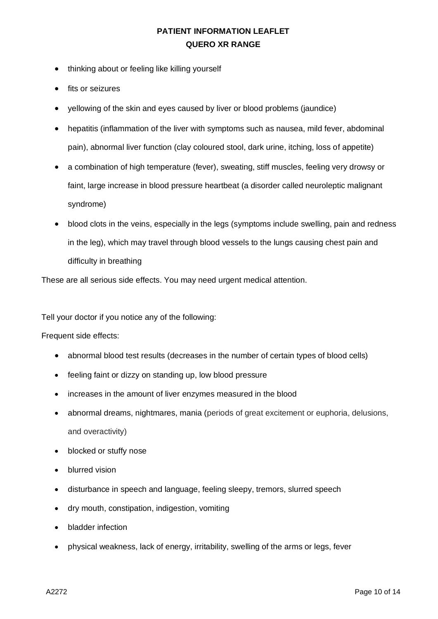- thinking about or feeling like killing yourself
- fits or seizures
- yellowing of the skin and eyes caused by liver or blood problems (jaundice)
- hepatitis (inflammation of the liver with symptoms such as nausea, mild fever, abdominal pain), abnormal liver function (clay coloured stool, dark urine, itching, loss of appetite)
- a combination of high temperature (fever), sweating, stiff muscles, feeling very drowsy or faint, large increase in blood pressure heartbeat (a disorder called neuroleptic malignant syndrome)
- blood clots in the veins, especially in the legs (symptoms include swelling, pain and redness in the leg), which may travel through blood vessels to the lungs causing chest pain and difficulty in breathing

These are all serious side effects. You may need urgent medical attention.

Tell your doctor if you notice any of the following:

Frequent side effects:

- abnormal blood test results (decreases in the number of certain types of blood cells)
- feeling faint or dizzy on standing up, low blood pressure
- increases in the amount of liver enzymes measured in the blood
- abnormal dreams, nightmares, mania (periods of great excitement or euphoria, delusions, and overactivity)
- blocked or stuffy nose
- blurred vision
- disturbance in speech and language, feeling sleepy, tremors, slurred speech
- dry mouth, constipation, indigestion, vomiting
- bladder infection
- physical weakness, lack of energy, irritability, swelling of the arms or legs, fever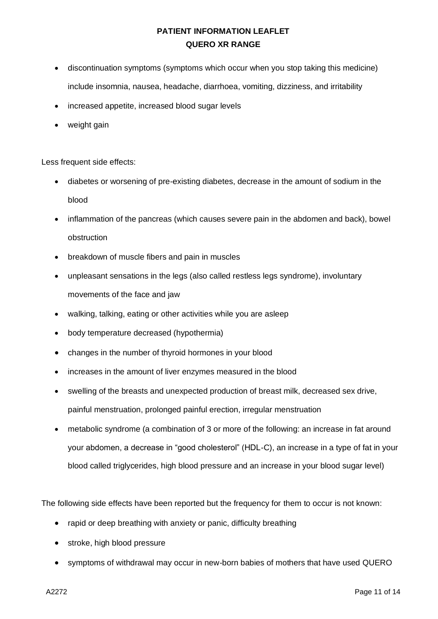- discontinuation symptoms (symptoms which occur when you stop taking this medicine) include insomnia, nausea, headache, diarrhoea, vomiting, dizziness, and irritability
- increased appetite, increased blood sugar levels
- weight gain

Less frequent side effects:

- diabetes or worsening of pre-existing diabetes, decrease in the amount of sodium in the blood
- inflammation of the pancreas (which causes severe pain in the abdomen and back), bowel obstruction
- breakdown of muscle fibers and pain in muscles
- unpleasant sensations in the legs (also called restless legs syndrome), involuntary movements of the face and jaw
- walking, talking, eating or other activities while you are asleep
- body temperature decreased (hypothermia)
- changes in the number of thyroid hormones in your blood
- increases in the amount of liver enzymes measured in the blood
- swelling of the breasts and unexpected production of breast milk, decreased sex drive, painful menstruation, prolonged painful erection, irregular menstruation
- metabolic syndrome (a combination of 3 or more of the following: an increase in fat around your abdomen, a decrease in "good cholesterol" (HDL-C), an increase in a type of fat in your blood called triglycerides, high blood pressure and an increase in your blood sugar level)

The following side effects have been reported but the frequency for them to occur is not known:

- rapid or deep breathing with anxiety or panic, difficulty breathing
- stroke, high blood pressure
- symptoms of withdrawal may occur in new-born babies of mothers that have used QUERO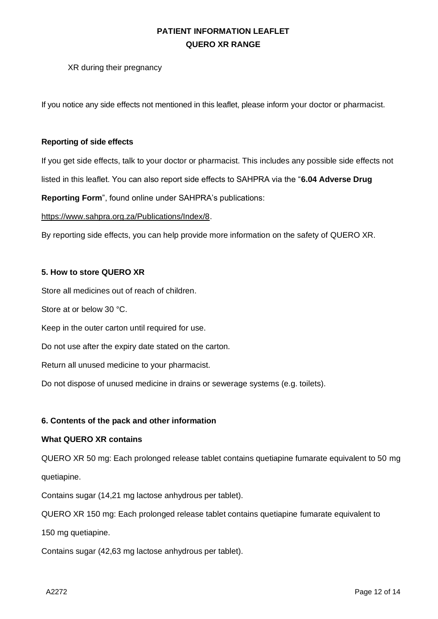XR during their pregnancy

If you notice any side effects not mentioned in this leaflet, please inform your doctor or pharmacist.

## **Reporting of side effects**

If you get side effects, talk to your doctor or pharmacist. This includes any possible side effects not listed in this leaflet. You can also report side effects to SAHPRA via the "**6.04 Adverse Drug** 

**Reporting Form**", found online under SAHPRA's publications:

[https://www.sahpra.org.za/Publications/Index/8.](https://www.sahpra.org.za/Publications/Index/8)

By reporting side effects, you can help provide more information on the safety of QUERO XR.

## **5. How to store QUERO XR**

Store all medicines out of reach of children.

Store at or below 30 °C.

Keep in the outer carton until required for use.

Do not use after the expiry date stated on the carton.

Return all unused medicine to your pharmacist.

Do not dispose of unused medicine in drains or sewerage systems (e.g. toilets).

# **6. Contents of the pack and other information**

## **What QUERO XR contains**

QUERO XR 50 mg: Each prolonged release tablet contains quetiapine fumarate equivalent to 50 mg quetiapine.

Contains sugar (14,21 mg lactose anhydrous per tablet).

QUERO XR 150 mg: Each prolonged release tablet contains quetiapine fumarate equivalent to

150 mg quetiapine.

Contains sugar (42,63 mg lactose anhydrous per tablet).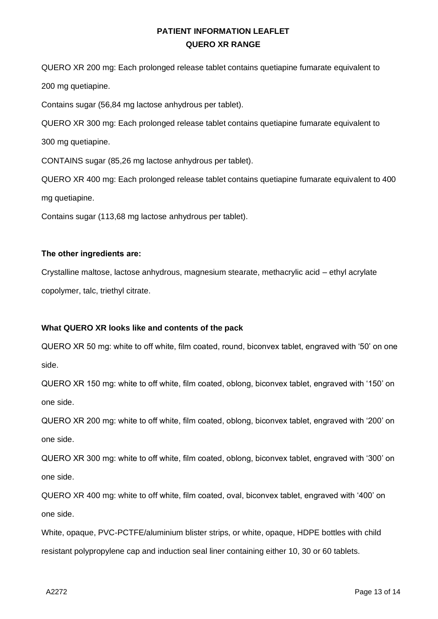QUERO XR 200 mg: Each prolonged release tablet contains quetiapine fumarate equivalent to 200 mg quetiapine.

Contains sugar (56,84 mg lactose anhydrous per tablet).

QUERO XR 300 mg: Each prolonged release tablet contains quetiapine fumarate equivalent to 300 mg quetiapine.

CONTAINS sugar (85,26 mg lactose anhydrous per tablet).

QUERO XR 400 mg: Each prolonged release tablet contains quetiapine fumarate equivalent to 400 mg quetiapine.

Contains sugar (113,68 mg lactose anhydrous per tablet).

## **The other ingredients are:**

Crystalline maltose, lactose anhydrous, magnesium stearate, methacrylic acid – ethyl acrylate copolymer, talc, triethyl citrate.

# **What QUERO XR looks like and contents of the pack**

QUERO XR 50 mg: white to off white, film coated, round, biconvex tablet, engraved with '50' on one side.

QUERO XR 150 mg: white to off white, film coated, oblong, biconvex tablet, engraved with '150' on one side.

QUERO XR 200 mg: white to off white, film coated, oblong, biconvex tablet, engraved with '200' on one side.

QUERO XR 300 mg: white to off white, film coated, oblong, biconvex tablet, engraved with '300' on one side.

QUERO XR 400 mg: white to off white, film coated, oval, biconvex tablet, engraved with '400' on one side.

White, opaque, PVC-PCTFE/aluminium blister strips, or white, opaque, HDPE bottles with child resistant polypropylene cap and induction seal liner containing either 10, 30 or 60 tablets.